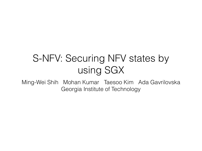### S-NFV: Securing NFV states by using SGX

Ming-Wei Shih Mohan Kumar Taesoo Kim Ada Gavrilovska Georgia Institute of Technology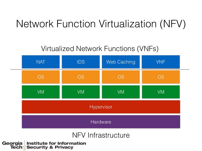### Network Function Virtualization (NFV)

### Virtualized Network Functions (VNFs)



#### NFV Infrastructure

Georgia **Institute for Information<br>Security & Privacy** Tech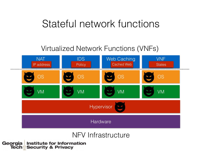### Stateful network functions

#### Virtualized Network Functions (VNFs)



#### NFV Infrastructure

Georgia **Institute for Information Security & Privacy** Tech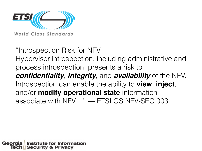

World Class Standards

"Introspection Risk for NFV Hypervisor introspection, including administrative and process introspection, presents a risk to *confidentiality*, *integrity*, and *availability* of the NFV. Introspection can enable the ability to **view**, **inject**, and/or **modify operational state** information associate with NFV…" — ETSI GS NFV-SEC 003

Institute for Information Georgia **Security & Privacy** lech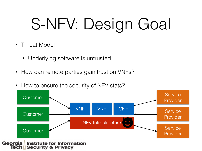# S-NFV: Design Goal

- Threat Model
	- Underlying software is untrusted
- How can remote parties gain trust on VNFs?
- How to ensure the security of NFV stats?

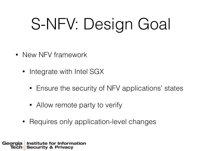# S-NFV: Design Goal

- New NFV framework
	- Integrate with Intel SGX
		- Ensure the security of NFV applications' states
		- Allow remote party to verify
	- Requires only application-level changes

**Institute for Information** Georgia **Security & Privacy**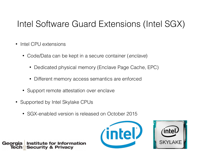### Intel Software Guard Extensions (Intel SGX)

- Intel CPU extensions
	- Code/Data can be kept in a secure container (*enclave*)
		- Dedicated physical memory (Enclave Page Cache, EPC)
		- Different memory access semantics are enforced
	- Support remote attestation over enclave
- Supported by Intel Skylake CPUs
	- SGX-enabled version is released on October 2015

Institute for Information **Security & Privacy** 



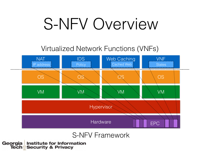## S-NFV Overview

### Virtualized Network Functions (VNFs)



#### S-NFV Framework

Georgia **Institute for Information<br>Security & Privacy**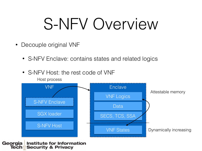## S-NFV Overview

- Decouple original VNF
	- S-NFV Enclave: contains states and related logics
	- S-NFV Host: the rest code of VNF

Host process



Georgia **Institute for Information Security & Privacy** Tech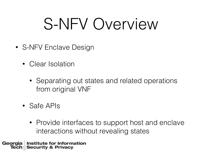## S-NFV Overview

- S-NFV Enclave Design
	- Clear Isolation
		- Separating out states and related operations from original VNF
	- Safe APIs
		- Provide interfaces to support host and enclave interactions without revealing states

**Institute for Information** Georgia **Security & Privacy** lech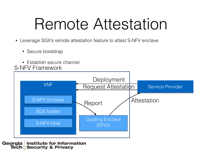### Remote Attestation

- Leverage SGX's remote attestation feature to attest S-NFV enclave
	- Secure bootstrap
- Establish secure channel S-NFV Framework



#### Georgia **Institute for Information Security & Privacy** Tech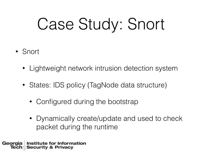# Case Study: Snort

- Snort
	- Lightweight network intrusion detection system
	- States: IDS policy (TagNode data structure)
		- Configured during the bootstrap
		- Dynamically create/update and used to check packet during the runtime

**Institute for Information** Georgia **Security & Privacy**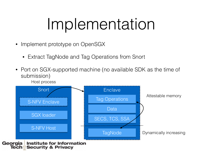## Implementation

- Implement prototype on OpenSGX
	- Extract TagNode and Tag Operations from Snort
- Port on SGX-supported machine (no available SDK as the time of submission)

Host process

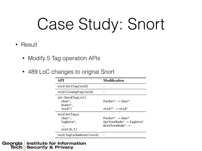# Case Study: Snort

- Result
	- Modify 5 Tag operation APIs
	- 489 LoC changes to orignal Snort

| API                                                 | <b>Modification</b>                                                                                 |
|-----------------------------------------------------|-----------------------------------------------------------------------------------------------------|
| void InitTag(void)                                  |                                                                                                     |
| void CleanupTag(void)                               |                                                                                                     |
| int CheckTagList(<br>char*,<br>Event*,              | Packet* $\rightarrow$ char*                                                                         |
| $void*)$                                            | void** $\rightarrow$ void*                                                                          |
| void SetTags(<br>char*,<br>TagData*,<br>$uint16_t)$ | Packet* $\rightarrow$ char*<br>OptTreeNode* $\rightarrow$ TagData*<br>RuleTreeNode* $\rightarrow$ - |
| void TagCacheReset(void)                            |                                                                                                     |

#### **Institute for Information** Georgia **Security & Privacy** Tech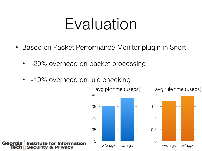### Evaluation

- Based on Packet Performance Monitor plugin in Snort
	- ~20% overhead on packet processing
	- $\bullet$  ~10% overhead on rule checking



**Institute for Information** Georgia **Security & Privacy** Tech